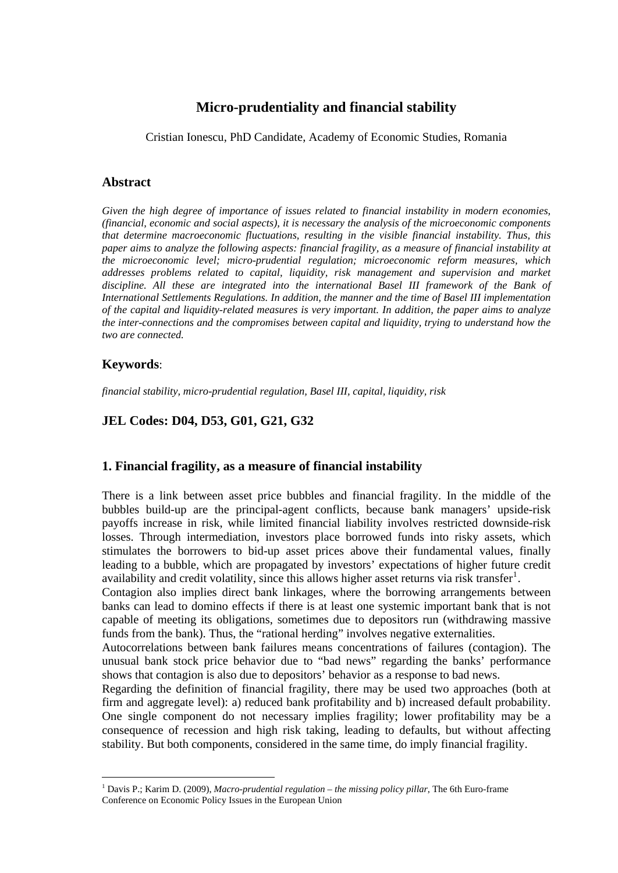# **Micro-prudentiality and financial stability**

Cristian Ionescu, PhD Candidate, Academy of Economic Studies, Romania

#### **Abstract**

*Given the high degree of importance of issues related to financial instability in modern economies, (financial, economic and social aspects), it is necessary the analysis of the microeconomic components that determine macroeconomic fluctuations, resulting in the visible financial instability. Thus, this paper aims to analyze the following aspects: financial fragility, as a measure of financial instability at the microeconomic level; micro-prudential regulation; microeconomic reform measures, which addresses problems related to capital, liquidity, risk management and supervision and market discipline. All these are integrated into the international Basel III framework of the Bank of International Settlements Regulations. In addition, the manner and the time of Basel III implementation of the capital and liquidity-related measures is very important. In addition, the paper aims to analyze the inter-connections and the compromises between capital and liquidity, trying to understand how the two are connected.* 

#### **Keywords**:

*financial stability, micro-prudential regulation, Basel III, capital, liquidity, risk*

#### **JEL Codes: D04, D53, G01, G21, G32**

#### **1. Financial fragility, as a measure of financial instability**

There is a link between asset price bubbles and financial fragility. In the middle of the bubbles build-up are the principal-agent conflicts, because bank managers' upside-risk payoffs increase in risk, while limited financial liability involves restricted downside-risk losses. Through intermediation, investors place borrowed funds into risky assets, which stimulates the borrowers to bid-up asset prices above their fundamental values, finally leading to a bubble, which are propagated by investors' expectations of higher future credit availability and credit volatility, since this allows higher asset returns via risk transfer<sup>[1](#page-0-0)</sup>.

Contagion also implies direct bank linkages, where the borrowing arrangements between banks can lead to domino effects if there is at least one systemic important bank that is not capable of meeting its obligations, sometimes due to depositors run (withdrawing massive funds from the bank). Thus, the "rational herding" involves negative externalities.

Autocorrelations between bank failures means concentrations of failures (contagion). The unusual bank stock price behavior due to "bad news" regarding the banks' performance shows that contagion is also due to depositors' behavior as a response to bad news.

Regarding the definition of financial fragility, there may be used two approaches (both at firm and aggregate level): a) reduced bank profitability and b) increased default probability. One single component do not necessary implies fragility; lower profitability may be a consequence of recession and high risk taking, leading to defaults, but without affecting stability. But both components, considered in the same time, do imply financial fragility.

<span id="page-0-0"></span><sup>1</sup> Davis P.; Karim D. (2009), *Macro-prudential regulation – the missing policy pillar*, The 6th Euro-frame Conference on Economic Policy Issues in the European Union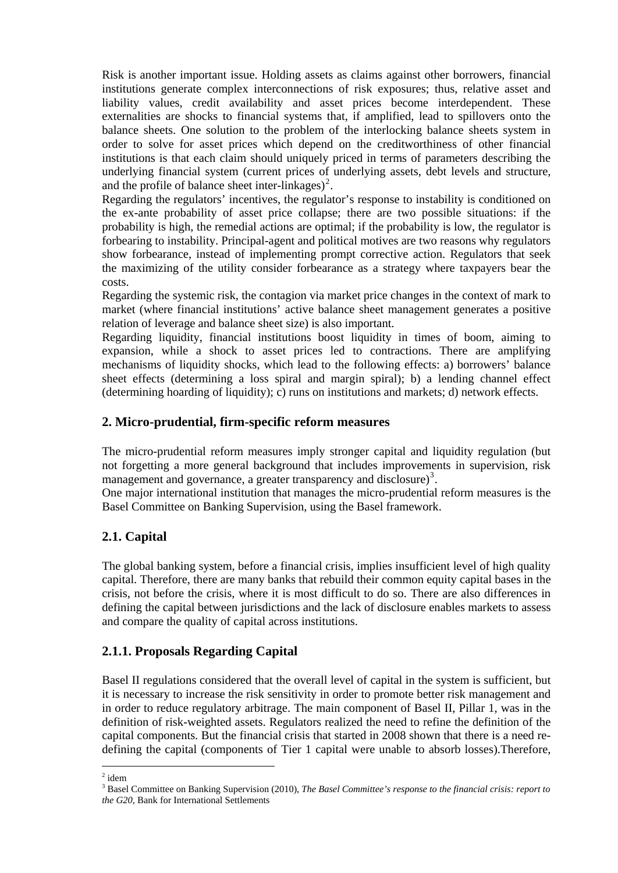Risk is another important issue. Holding assets as claims against other borrowers, financial institutions generate complex interconnections of risk exposures; thus, relative asset and liability values, credit availability and asset prices become interdependent. These externalities are shocks to financial systems that, if amplified, lead to spillovers onto the balance sheets. One solution to the problem of the interlocking balance sheets system in order to solve for asset prices which depend on the creditworthiness of other financial institutions is that each claim should uniquely priced in terms of parameters describing the underlying financial system (current prices of underlying assets, debt levels and structure, and the profile of balance sheet inter-linkages)<sup>[2](#page-1-0)</sup>.

Regarding the regulators' incentives, the regulator's response to instability is conditioned on the ex-ante probability of asset price collapse; there are two possible situations: if the probability is high, the remedial actions are optimal; if the probability is low, the regulator is forbearing to instability. Principal-agent and political motives are two reasons why regulators show forbearance, instead of implementing prompt corrective action. Regulators that seek the maximizing of the utility consider forbearance as a strategy where taxpayers bear the costs.

Regarding the systemic risk, the contagion via market price changes in the context of mark to market (where financial institutions' active balance sheet management generates a positive relation of leverage and balance sheet size) is also important.

Regarding liquidity, financial institutions boost liquidity in times of boom, aiming to expansion, while a shock to asset prices led to contractions. There are amplifying mechanisms of liquidity shocks, which lead to the following effects: a) borrowers' balance sheet effects (determining a loss spiral and margin spiral); b) a lending channel effect (determining hoarding of liquidity); c) runs on institutions and markets; d) network effects.

### **2. Micro-prudential, firm-specific reform measures**

The micro-prudential reform measures imply stronger capital and liquidity regulation (but not forgetting a more general background that includes improvements in supervision, risk management and governance, a greater transparency and disclosure)<sup>[3](#page-1-1)</sup>.

One major international institution that manages the micro-prudential reform measures is the Basel Committee on Banking Supervision, using the Basel framework.

## **2.1. Capital**

The global banking system, before a financial crisis, implies insufficient level of high quality capital. Therefore, there are many banks that rebuild their common equity capital bases in the crisis, not before the crisis, where it is most difficult to do so. There are also differences in defining the capital between jurisdictions and the lack of disclosure enables markets to assess and compare the quality of capital across institutions.

## **2.1.1. Proposals Regarding Capital**

Basel II regulations considered that the overall level of capital in the system is sufficient, but it is necessary to increase the risk sensitivity in order to promote better risk management and in order to reduce regulatory arbitrage. The main component of Basel II, Pillar 1, was in the definition of risk-weighted assets. Regulators realized the need to refine the definition of the capital components. But the financial crisis that started in 2008 shown that there is a need redefining the capital (components of Tier 1 capital were unable to absorb losses).Therefore,

  $2$  idem

<span id="page-1-1"></span><span id="page-1-0"></span><sup>&</sup>lt;sup>3</sup> Basel Committee on Banking Supervision (2010), *The Basel Committee's response to the financial crisis: report to the G20*, Bank for International Settlements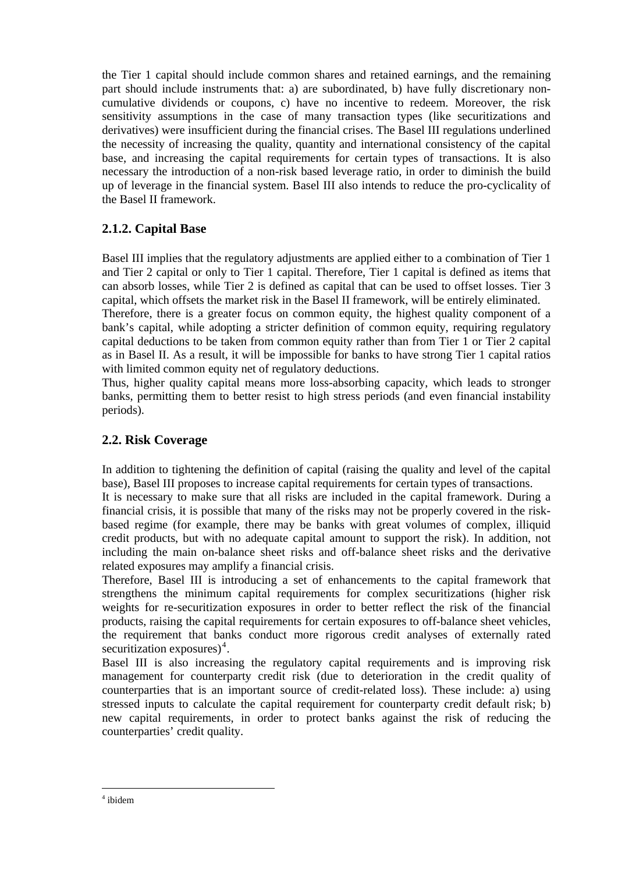the Tier 1 capital should include common shares and retained earnings, and the remaining part should include instruments that: a) are subordinated, b) have fully discretionary noncumulative dividends or coupons, c) have no incentive to redeem. Moreover, the risk sensitivity assumptions in the case of many transaction types (like securitizations and derivatives) were insufficient during the financial crises. The Basel III regulations underlined the necessity of increasing the quality, quantity and international consistency of the capital base, and increasing the capital requirements for certain types of transactions. It is also necessary the introduction of a non-risk based leverage ratio, in order to diminish the build up of leverage in the financial system. Basel III also intends to reduce the pro-cyclicality of the Basel II framework.

## **2.1.2. Capital Base**

Basel III implies that the regulatory adjustments are applied either to a combination of Tier 1 and Tier 2 capital or only to Tier 1 capital. Therefore, Tier 1 capital is defined as items that can absorb losses, while Tier 2 is defined as capital that can be used to offset losses. Tier 3 capital, which offsets the market risk in the Basel II framework, will be entirely eliminated.

Therefore, there is a greater focus on common equity, the highest quality component of a bank's capital, while adopting a stricter definition of common equity, requiring regulatory capital deductions to be taken from common equity rather than from Tier 1 or Tier 2 capital as in Basel II. As a result, it will be impossible for banks to have strong Tier 1 capital ratios with limited common equity net of regulatory deductions.

Thus, higher quality capital means more loss-absorbing capacity, which leads to stronger banks, permitting them to better resist to high stress periods (and even financial instability periods).

### **2.2. Risk Coverage**

In addition to tightening the definition of capital (raising the quality and level of the capital base), Basel III proposes to increase capital requirements for certain types of transactions.

It is necessary to make sure that all risks are included in the capital framework. During a financial crisis, it is possible that many of the risks may not be properly covered in the riskbased regime (for example, there may be banks with great volumes of complex, illiquid credit products, but with no adequate capital amount to support the risk). In addition, not including the main on-balance sheet risks and off-balance sheet risks and the derivative related exposures may amplify a financial crisis.

Therefore, Basel III is introducing a set of enhancements to the capital framework that strengthens the minimum capital requirements for complex securitizations (higher risk weights for re-securitization exposures in order to better reflect the risk of the financial products, raising the capital requirements for certain exposures to off-balance sheet vehicles, the requirement that banks conduct more rigorous credit analyses of externally rated securitization exposures $)^4$  $)^4$ .

Basel III is also increasing the regulatory capital requirements and is improving risk management for counterparty credit risk (due to deterioration in the credit quality of counterparties that is an important source of credit-related loss). These include: a) using stressed inputs to calculate the capital requirement for counterparty credit default risk; b) new capital requirements, in order to protect banks against the risk of reducing the counterparties' credit quality.

<span id="page-2-0"></span><sup>4</sup> ibidem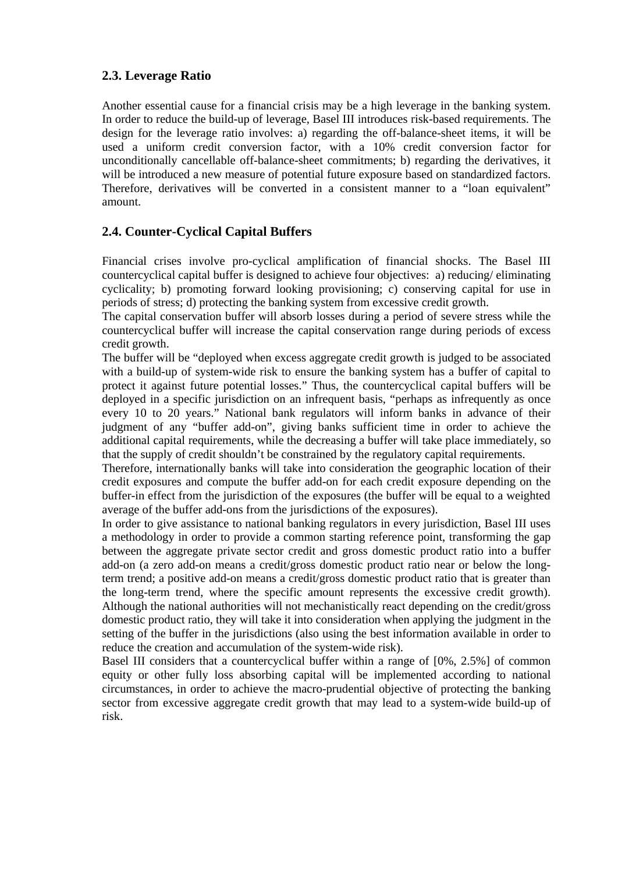## **2.3. Leverage Ratio**

Another essential cause for a financial crisis may be a high leverage in the banking system. In order to reduce the build-up of leverage, Basel III introduces risk-based requirements. The design for the leverage ratio involves: a) regarding the off-balance-sheet items, it will be used a uniform credit conversion factor, with a 10% credit conversion factor for unconditionally cancellable off-balance-sheet commitments; b) regarding the derivatives, it will be introduced a new measure of potential future exposure based on standardized factors. Therefore, derivatives will be converted in a consistent manner to a "loan equivalent" amount.

## **2.4. Counter-Cyclical Capital Buffers**

Financial crises involve pro-cyclical amplification of financial shocks. The Basel III countercyclical capital buffer is designed to achieve four objectives: a) reducing/ eliminating cyclicality; b) promoting forward looking provisioning; c) conserving capital for use in periods of stress; d) protecting the banking system from excessive credit growth.

The capital conservation buffer will absorb losses during a period of severe stress while the countercyclical buffer will increase the capital conservation range during periods of excess credit growth.

The buffer will be "deployed when excess aggregate credit growth is judged to be associated with a build-up of system-wide risk to ensure the banking system has a buffer of capital to protect it against future potential losses." Thus, the countercyclical capital buffers will be deployed in a specific jurisdiction on an infrequent basis, "perhaps as infrequently as once every 10 to 20 years." National bank regulators will inform banks in advance of their judgment of any "buffer add-on", giving banks sufficient time in order to achieve the additional capital requirements, while the decreasing a buffer will take place immediately, so that the supply of credit shouldn't be constrained by the regulatory capital requirements.

Therefore, internationally banks will take into consideration the geographic location of their credit exposures and compute the buffer add-on for each credit exposure depending on the buffer-in effect from the jurisdiction of the exposures (the buffer will be equal to a weighted average of the buffer add-ons from the jurisdictions of the exposures).

In order to give assistance to national banking regulators in every jurisdiction, Basel III uses a methodology in order to provide a common starting reference point, transforming the gap between the aggregate private sector credit and gross domestic product ratio into a buffer add-on (a zero add-on means a credit/gross domestic product ratio near or below the longterm trend; a positive add-on means a credit/gross domestic product ratio that is greater than the long-term trend, where the specific amount represents the excessive credit growth). Although the national authorities will not mechanistically react depending on the credit/gross domestic product ratio, they will take it into consideration when applying the judgment in the setting of the buffer in the jurisdictions (also using the best information available in order to reduce the creation and accumulation of the system-wide risk).

Basel III considers that a countercyclical buffer within a range of [0%, 2.5%] of common equity or other fully loss absorbing capital will be implemented according to national circumstances, in order to achieve the macro-prudential objective of protecting the banking sector from excessive aggregate credit growth that may lead to a system-wide build-up of risk.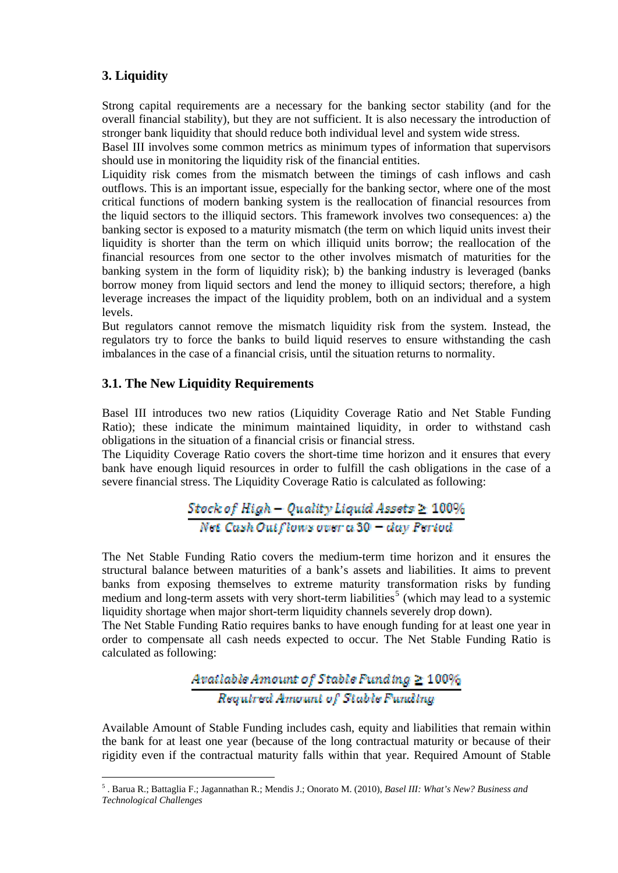## **3. Liquidity**

Strong capital requirements are a necessary for the banking sector stability (and for the overall financial stability), but they are not sufficient. It is also necessary the introduction of stronger bank liquidity that should reduce both individual level and system wide stress.

Basel III involves some common metrics as minimum types of information that supervisors should use in monitoring the liquidity risk of the financial entities.

Liquidity risk comes from the mismatch between the timings of cash inflows and cash outflows. This is an important issue, especially for the banking sector, where one of the most critical functions of modern banking system is the reallocation of financial resources from the liquid sectors to the illiquid sectors. This framework involves two consequences: a) the banking sector is exposed to a maturity mismatch (the term on which liquid units invest their liquidity is shorter than the term on which illiquid units borrow; the reallocation of the financial resources from one sector to the other involves mismatch of maturities for the banking system in the form of liquidity risk); b) the banking industry is leveraged (banks borrow money from liquid sectors and lend the money to illiquid sectors; therefore, a high leverage increases the impact of the liquidity problem, both on an individual and a system levels.

But regulators cannot remove the mismatch liquidity risk from the system. Instead, the regulators try to force the banks to build liquid reserves to ensure withstanding the cash imbalances in the case of a financial crisis, until the situation returns to normality.

#### **3.1. The New Liquidity Requirements**

Basel III introduces two new ratios (Liquidity Coverage Ratio and Net Stable Funding Ratio); these indicate the minimum maintained liquidity, in order to withstand cash obligations in the situation of a financial crisis or financial stress.

The Liquidity Coverage Ratio covers the short-time time horizon and it ensures that every bank have enough liquid resources in order to fulfill the cash obligations in the case of a severe financial stress. The Liquidity Coverage Ratio is calculated as following:

$$
\frac{Stock\ of\ High-Quality\ liquid\ Assets\ge\ 100\%}{Net\ Cash\ Outflow\ source\ car\ as\ 0-day\ Period}
$$

The Net Stable Funding Ratio covers the medium-term time horizon and it ensures the structural balance between maturities of a bank's assets and liabilities. It aims to prevent banks from exposing themselves to extreme maturity transformation risks by funding medium and long-term assets with very short-term liabilities<sup>[5](#page-4-0)</sup> (which may lead to a systemic liquidity shortage when major short-term liquidity channels severely drop down).

The Net Stable Funding Ratio requires banks to have enough funding for at least one year in order to compensate all cash needs expected to occur. The Net Stable Funding Ratio is calculated as following:

# Avatlable Amount of Stable Funding  $\geq 100\%$ Required Amount of Stable Funding

Available Amount of Stable Funding includes cash, equity and liabilities that remain within the bank for at least one year (because of the long contractual maturity or because of their rigidity even if the contractual maturity falls within that year. Required Amount of Stable

<span id="page-4-0"></span><sup>5</sup> . Barua R.; Battaglia F.; Jagannathan R.; Mendis J.; Onorato M. (2010), *Basel III: What's New? Business and Technological Challenges*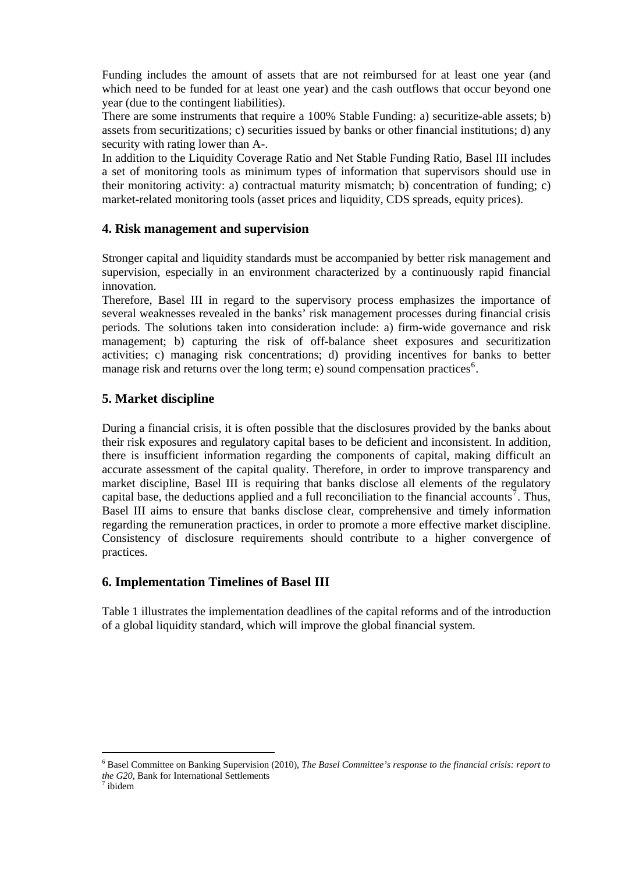Funding includes the amount of assets that are not reimbursed for at least one year (and which need to be funded for at least one year) and the cash outflows that occur beyond one year (due to the contingent liabilities).

There are some instruments that require a 100% Stable Funding: a) securitize-able assets; b) assets from securitizations; c) securities issued by banks or other financial institutions; d) any security with rating lower than A-.

In addition to the Liquidity Coverage Ratio and Net Stable Funding Ratio, Basel III includes a set of monitoring tools as minimum types of information that supervisors should use in their monitoring activity: a) contractual maturity mismatch; b) concentration of funding; c) market-related monitoring tools (asset prices and liquidity, CDS spreads, equity prices).

### **4. Risk management and supervision**

Stronger capital and liquidity standards must be accompanied by better risk management and supervision, especially in an environment characterized by a continuously rapid financial innovation.

Therefore, Basel III in regard to the supervisory process emphasizes the importance of several weaknesses revealed in the banks' risk management processes during financial crisis periods. The solutions taken into consideration include: a) firm-wide governance and risk management; b) capturing the risk of off-balance sheet exposures and securitization activities; c) managing risk concentrations; d) providing incentives for banks to better manage risk and returns over the long term; e) sound compensation practices<sup>[6](#page-5-0)</sup>.

### **5. Market discipline**

During a financial crisis, it is often possible that the disclosures provided by the banks about their risk exposures and regulatory capital bases to be deficient and inconsistent. In addition, there is insufficient information regarding the components of capital, making difficult an accurate assessment of the capital quality. Therefore, in order to improve transparency and market discipline, Basel III is requiring that banks disclose all elements of the regulatory capital base, the deductions applied and a full reconciliation to the financial accounts<sup>[7](#page-5-1)</sup>. Thus, Basel III aims to ensure that banks disclose clear, comprehensive and timely information regarding the remuneration practices, in order to promote a more effective market discipline. Consistency of disclosure requirements should contribute to a higher convergence of practices.

#### **6. Implementation Timelines of Basel III**

Table 1 illustrates the implementation deadlines of the capital reforms and of the introduction of a global liquidity standard, which will improve the global financial system.

<span id="page-5-1"></span><span id="page-5-0"></span><sup>6</sup> Basel Committee on Banking Supervision (2010), *The Basel Committee's response to the financial crisis: report to the G20*, Bank for International Settlements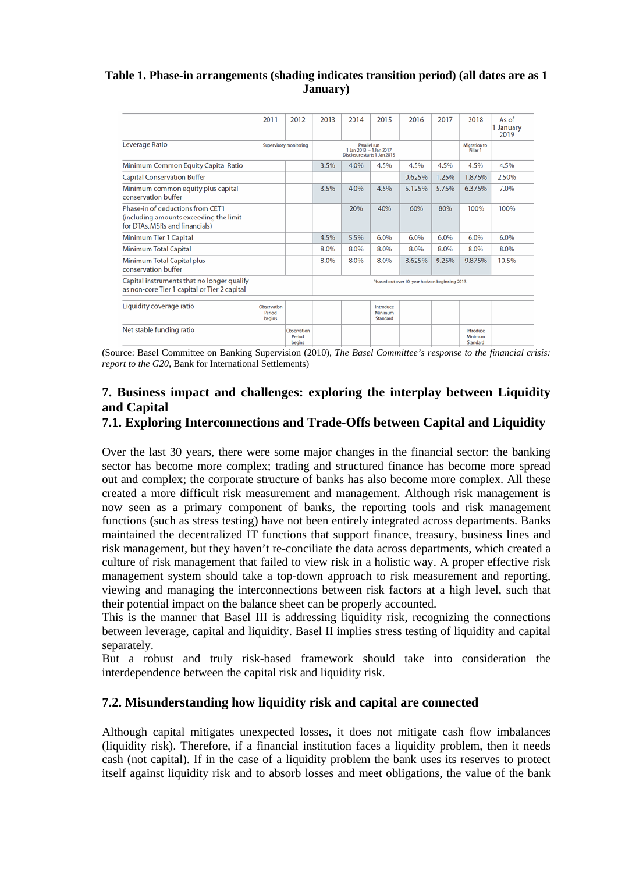#### **Table 1. Phase-in arrangements (shading indicates transition period) (all dates are as 1 January)**

|                                                                                                              | 2011                            | 2012                                   | 2013                                                                    | 2014 | 2015                             | 2016   | 2017  | 2018                                | As of<br>1 January<br>2019 |
|--------------------------------------------------------------------------------------------------------------|---------------------------------|----------------------------------------|-------------------------------------------------------------------------|------|----------------------------------|--------|-------|-------------------------------------|----------------------------|
| Leverage Ratio                                                                                               | Supervisory monitoring          |                                        | Parallel run<br>1 Jan 2013 - 1 Jan 2017<br>Disclosure starts 1 Jan 2015 |      |                                  |        |       | Migration to<br>Pillar <sub>1</sub> |                            |
| Minimum Common Equity Capital Ratio                                                                          |                                 |                                        | 3.5%                                                                    | 4.0% | 4.5%                             | 4.5%   | 4.5%  | 4.5%                                | 4.5%                       |
| <b>Capital Conservation Buffer</b>                                                                           |                                 |                                        |                                                                         |      |                                  | 0.625% | 1.25% | 1.875%                              | 2.50%                      |
| Minimum common equity plus capital<br>conservation buffer                                                    |                                 |                                        | 3.5%                                                                    | 4.0% | 4.5%                             | 5.125% | 5.75% | 6.375%                              | 7.0%                       |
| Phase-in of deductions from CET1<br>(including amounts exceeding the limit<br>for DTAs, MSRs and financials) |                                 |                                        |                                                                         | 20%  | 40%                              | 60%    | 80%   | 100%                                | 100%                       |
| Minimum Tier 1 Capital                                                                                       |                                 |                                        | 4.5%                                                                    | 5.5% | 6.0%                             | 6.0%   | 6.0%  | 6.0%                                | 6.0%                       |
| <b>Minimum Total Capital</b>                                                                                 |                                 |                                        | 8.0%                                                                    | 8.0% | 8.0%                             | 8.0%   | 8.0%  | 8.0%                                | 8.0%                       |
| Minimum Total Capital plus<br>conservation buffer                                                            |                                 |                                        | 8.0%                                                                    | 8.0% | 8.0%                             | 8.625% | 9.25% | 9.875%                              | 10.5%                      |
| Capital instruments that no longer qualify<br>as non-core Tier 1 capital or Tier 2 capital                   |                                 |                                        | Phased out over 10 year horizon beginning 2013                          |      |                                  |        |       |                                     |                            |
|                                                                                                              |                                 |                                        |                                                                         |      |                                  |        |       |                                     |                            |
| Liquidity coverage ratio                                                                                     | Observation<br>Period<br>begins |                                        |                                                                         |      | Introduce<br>Minimum<br>Standard |        |       |                                     |                            |
| Net stable funding ratio                                                                                     |                                 | Observation<br>Period<br><b>begins</b> |                                                                         |      |                                  |        |       | Introduce<br>Minimum<br>Standard    |                            |

(Source: Basel Committee on Banking Supervision (2010), *The Basel Committee's response to the financial crisis: report to the G20*, Bank for International Settlements)

## **7. Business impact and challenges: exploring the interplay between Liquidity and Capital**

## **7.1. Exploring Interconnections and Trade-Offs between Capital and Liquidity**

Over the last 30 years, there were some major changes in the financial sector: the banking sector has become more complex; trading and structured finance has become more spread out and complex; the corporate structure of banks has also become more complex. All these created a more difficult risk measurement and management. Although risk management is now seen as a primary component of banks, the reporting tools and risk management functions (such as stress testing) have not been entirely integrated across departments. Banks maintained the decentralized IT functions that support finance, treasury, business lines and risk management, but they haven't re-conciliate the data across departments, which created a culture of risk management that failed to view risk in a holistic way. A proper effective risk management system should take a top-down approach to risk measurement and reporting, viewing and managing the interconnections between risk factors at a high level, such that their potential impact on the balance sheet can be properly accounted.

This is the manner that Basel III is addressing liquidity risk, recognizing the connections between leverage, capital and liquidity. Basel II implies stress testing of liquidity and capital separately.

But a robust and truly risk-based framework should take into consideration the interdependence between the capital risk and liquidity risk.

### **7.2. Misunderstanding how liquidity risk and capital are connected**

Although capital mitigates unexpected losses, it does not mitigate cash flow imbalances (liquidity risk). Therefore, if a financial institution faces a liquidity problem, then it needs cash (not capital). If in the case of a liquidity problem the bank uses its reserves to protect itself against liquidity risk and to absorb losses and meet obligations, the value of the bank